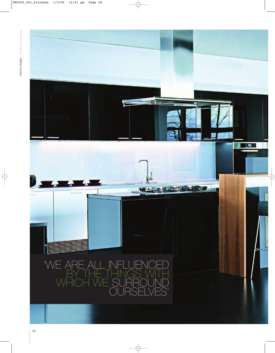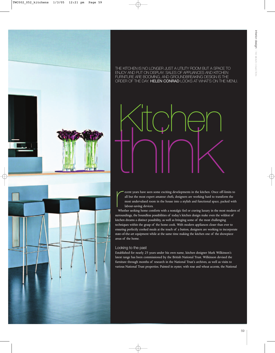

THE KITCHEN IS NO LONGER JUST A UTILITY ROOM BUT A SPACE TO ENJOY AND PUT ON DISPLAY. SALES OF APPLIANCES AND KITCHEN FURNITURE ARE BOOMING, AND GROUNDBREAKING DESIGN IS THE ORDER OF THE DAY. HELEN CONRAD LOOKS AT WHAT'S ON THE MENU.

think Kitchen

Fracent years have seen some exciting developments in the kitchen. Once off-limits to<br>all but the most expert amateur chefs, designers are working hard to transform the<br>most undervalued room in the house into a stylish and ecent years have seen some exciting developments in the kitchen. Once off-limits to all but the most expert amateur chefs, designers are working hard to transform the most undervalued room in the house into a stylish and functional space, packed with labour-saving devices.

surroundings, the boundless possibilities of today's kitchen design make even the wildest of kitchen dreams a distinct possibility, as well as bringing some of the most challenging techniques within the grasp of the home cook. With modern appliances closer than ever to ensuring perfectly cooked meals at the touch of a button, designers are working to incorporate state-of-the-art equipment while at the same time making the kitchen one of the showpiece areas of the home.

### Looking to the past

Established for nearly 25 years under his own name, kitchen designer Mark Wilkinson's latest range has been commissioned by the British National Trust. Wilkinson devised the furniture through months of research in the National Trust's archives, as well as visits to various National Trust properties. Painted in oyster, with rose and wheat accents, the National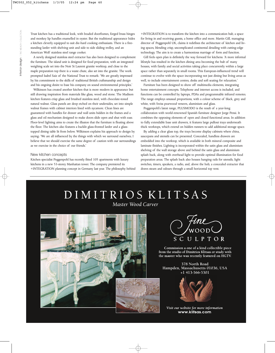Trust kitchen has a traditional look, with beaded doorframes, forged brass hinges and monkey lip handles enamelled in oyster. But the traditional appearance hides a kitchen cleverly equipped to suit die-hard cooking enthusiasts. There is a freestanding larder with shelving unit and side to side sliding trolley, and an American Wolf stainless steel range cooker.

A newly designed stainless steel extractor has also been designed to complement the furniture. The island unit is designed for food preparation, with an integrated weighing scale set into the Noir St Laurent granite worktop, and close to the maple preparation top there is a waste chute, also set into the granite. The work prompted Isabel Saiz of the National Trust to remark: 'We are greatly impressed by his commitment to the skills of traditional British craftsmanship and design and his ongoing desire to base his company on sound environmental principles.'

Wilkinson has created another kitchen that is more modern in appearance but still drawing inspiration from materials like glass, wood and stone. The Madison kitchen features crisp glass and brushed stainless steel, with chocolate-toned natural walnut. Glass panels are deep etched on their undersides, set into simple walnut frames with cabinet interiors lined with sycamore. Clean lines are guaranteed with handles for drawer and wall units hidden in the frames and a glass and oil mechanism designed to make doors slide open and shut with ease. Floor-level lighting aims to create the illusion that the furniture is floating above the floor. The kitchen also features a backlit glass-fronted larder and a glasstopped dining table lit from below. Wilkinson explains his approach to design by saying: 'We are all influenced by the things with which we surround ourselves; I believe that we should exercise the same degree of caution with our surroundings as we exercise in the choice of our friends.'

### New kitchen concepts

Kitchen specialist Poggenpohl has recently fitted 105 apartments with luxury kitchens in a new 53-storey Manhattan tower. The company premiered its +INTEGRATION planning concept in Germany last year. The philosophy behind

+INTEGRATION is to transform the kitchen into a communication hub, a space for living in and receiving guests, a home office and more. Martin Gill, managing director of Poggenpohl UK, claims it redefines the architecture of kitchen and living spaces, blending crisp, uncomplicated continental detailing with cutting-edge technology. The aim is to create a harmonious marriage of form and function.

Gill feels open plan is definitely the way forward for kitchens: 'A more informal lifestyle has resulted in the kitchen dining area becoming the hub of many houses, with family and social activities taking place concurrently within a large space rather than separately in small rooms. This European-influenced trend will continue to evolve with the space incorporating not just dining but living areas as well, to include entertainment centres, desks and soft seating for relaxation.'

Furniture has been designed to show off multimedia elements, integrating home entertainment concepts. Telephone and internet access is included, and functions can be controlled by laptops, PDAs and programmable infrared remotes. The range employs unusual proportions, with a colour scheme of black, grey and white, with Swiss pearwood veneers, aluminium and glass.

Poggenpohl's latest range, PLUSMODO is the result of a year-long collaboration with world-renowned Spanish furniture designer Jorge Pensi. It combines the opposing elements of open and closed functional areas. In addition to fully extendable base unit drawers, it features large pullout trays underneath thick worktops, which extend on hidden runners to add additional storage space.

By adding a clear glass top, the trays become display cabinets where china, saucepans and utensils can be presented. Concealed, handless drawers are embedded into the worktop, which is available in both mineral composite and laminate finishes. Lighting is incorporated within the satin glass and aluminium shelving of the wall storage above and behind the satin glass and aluminium splash back, along with overhead light to provide optimal illumination for food preparation areas. The splash back also houses hanging rails for utensils, light switches, timers, speakers, a radio, and, above the hob, a concealed extractor that draws steam and odours through a small horizontal top vent.

## DIMITRIOS KLITSAS Master Wood Carver





Commission a one of a kind collectible piece from the studio of Dimitrios Klitsas or study with the master who was recently featured on HGTV.

**378 North Road Hampden, Massachusetts 01036, USA +1 413-566-5301**



Visit our website for more information www.klitsas.com